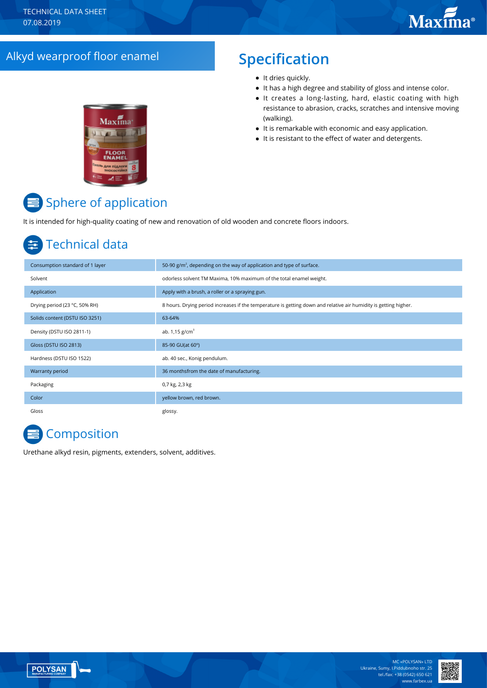# Alkyd wearproof floor enamel **Specification**

# Maxima  $\overline{E}$  and

- It dries quickly.
- It has a high degree and stability of gloss and intense color.
- It creates a long-lasting, hard, elastic coating with high resistance to abrasion, cracks, scratches and intensive moving (walking).
- It is remarkable with economic and easy application.
- It is resistant to the effect of water and detergents.

# **■** Sphere of application

It is intended for high-quality coating of new and renovation of old wooden and concrete floors indoors.

# Technical data

| Consumption standard of 1 layer | 50-90 $g/m2$ , depending on the way of application and type of surface.                                          |
|---------------------------------|------------------------------------------------------------------------------------------------------------------|
| Solvent                         | odorless solvent TM Maxima, 10% maximum of the total enamel weight.                                              |
| Application                     | Apply with a brush, a roller or a spraying gun.                                                                  |
| Drying period (23 °C, 50% RH)   | 8 hours. Drying period increases if the temperature is getting down and relative air humidity is getting higher. |
| Solids content (DSTU ISO 3251)  | 63-64%                                                                                                           |
| Density (DSTU ISO 2811-1)       | ab. $1,15$ g/cm <sup>3</sup>                                                                                     |
| Gloss (DSTU ISO 2813)           | 85-90 GU(at 60°)                                                                                                 |
| Hardness (DSTU ISO 1522)        | ab. 40 sec., Konig pendulum.                                                                                     |
| Warranty period                 | 36 monthsfrom the date of manufacturing.                                                                         |
| Packaging                       | 0,7 kg, 2,3 kg                                                                                                   |
| Color                           | yellow brown, red brown.                                                                                         |
| Gloss                           | glossy.                                                                                                          |

# **E** Composition

Urethane alkyd resin, pigments, extenders, solvent, additives.